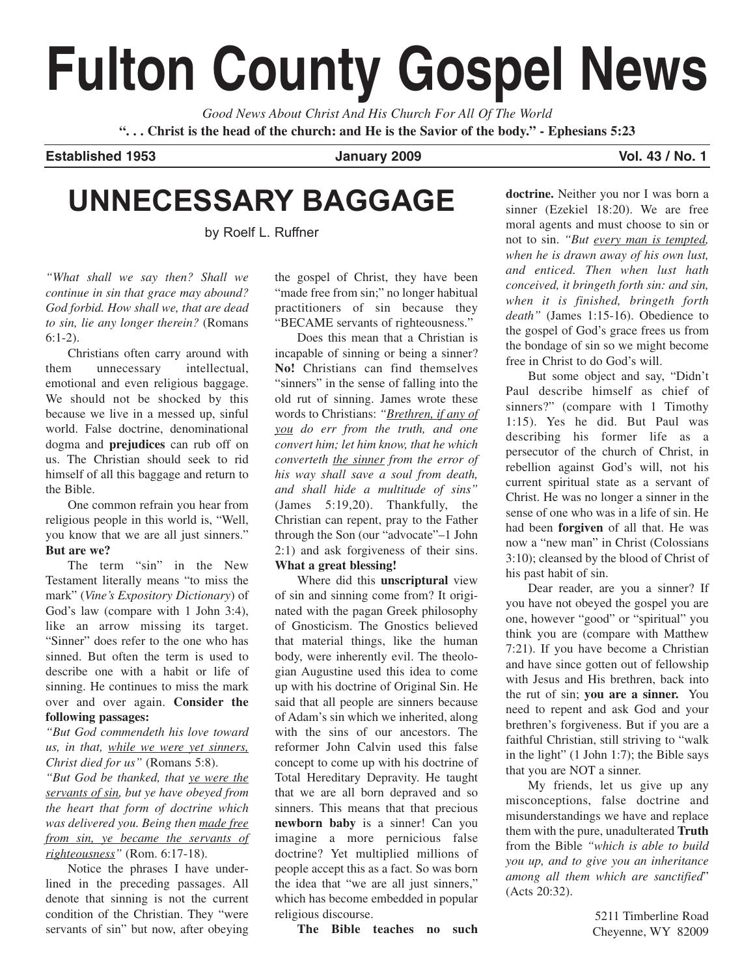# **Fulton County Gospel News**

*Good News About Christ And His Church For All Of The World* **". . . Christ is the head of the church: and He is the Savior of the body." - Ephesians 5:23**

**Established 1953 January 2009 Vol. 43 / No. 1**

## **UNNECESSARY BAGGAGE**

by Roelf L. Ruffner

*"What shall we say then? Shall we continue in sin that grace may abound? God forbid. How shall we, that are dead to sin, lie any longer therein?* (Romans 6:1-2).

Christians often carry around with them unnecessary intellectual, emotional and even religious baggage. We should not be shocked by this because we live in a messed up, sinful world. False doctrine, denominational dogma and **prejudices** can rub off on us. The Christian should seek to rid himself of all this baggage and return to the Bible.

One common refrain you hear from religious people in this world is, "Well, you know that we are all just sinners." **But are we?**

The term "sin" in the New Testament literally means "to miss the mark" (*Vine's Expository Dictionary*) of God's law (compare with 1 John 3:4), like an arrow missing its target. "Sinner" does refer to the one who has sinned. But often the term is used to describe one with a habit or life of sinning. He continues to miss the mark over and over again. **Consider the following passages:**

*"But God commendeth his love toward us, in that, while we were yet sinners, Christ died for us"* (Romans 5:8).

*"But God be thanked, that ye were the servants of sin, but ye have obeyed from the heart that form of doctrine which was delivered you. Being then made free from sin, ye became the servants of righteousness"* (Rom. 6:17-18).

Notice the phrases I have underlined in the preceding passages. All denote that sinning is not the current condition of the Christian. They "were servants of sin" but now, after obeying the gospel of Christ, they have been "made free from sin;" no longer habitual practitioners of sin because they "BECAME servants of righteousness."

Does this mean that a Christian is incapable of sinning or being a sinner? **No!** Christians can find themselves "sinners" in the sense of falling into the old rut of sinning. James wrote these words to Christians: *"Brethren, if any of you do err from the truth, and one convert him; let him know, that he which converteth the sinner from the error of his way shall save a soul from death, and shall hide a multitude of sins"* (James 5:19,20). Thankfully, the Christian can repent, pray to the Father through the Son (our "advocate"–1 John 2:1) and ask forgiveness of their sins. **What a great blessing!**

Where did this **unscriptural** view of sin and sinning come from? It originated with the pagan Greek philosophy of Gnosticism. The Gnostics believed that material things, like the human body, were inherently evil. The theologian Augustine used this idea to come up with his doctrine of Original Sin. He said that all people are sinners because of Adam's sin which we inherited, along with the sins of our ancestors. The reformer John Calvin used this false concept to come up with his doctrine of Total Hereditary Depravity. He taught that we are all born depraved and so sinners. This means that that precious **newborn baby** is a sinner! Can you imagine a more pernicious false doctrine? Yet multiplied millions of people accept this as a fact. So was born the idea that "we are all just sinners," which has become embedded in popular religious discourse.

**The Bible teaches no such**

**doctrine.** Neither you nor I was born a sinner (Ezekiel 18:20). We are free moral agents and must choose to sin or not to sin. *"But every man is tempted, when he is drawn away of his own lust, and enticed. Then when lust hath conceived, it bringeth forth sin: and sin, when it is finished, bringeth forth death"* (James 1:15-16). Obedience to the gospel of God's grace frees us from the bondage of sin so we might become free in Christ to do God's will.

But some object and say, "Didn't Paul describe himself as chief of sinners?" (compare with 1 Timothy 1:15). Yes he did. But Paul was describing his former life as a persecutor of the church of Christ, in rebellion against God's will, not his current spiritual state as a servant of Christ. He was no longer a sinner in the sense of one who was in a life of sin. He had been **forgiven** of all that. He was now a "new man" in Christ (Colossians 3:10); cleansed by the blood of Christ of his past habit of sin.

Dear reader, are you a sinner? If you have not obeyed the gospel you are one, however "good" or "spiritual" you think you are (compare with Matthew 7:21). If you have become a Christian and have since gotten out of fellowship with Jesus and His brethren, back into the rut of sin; **you are a sinner.** You need to repent and ask God and your brethren's forgiveness. But if you are a faithful Christian, still striving to "walk in the light" (1 John 1:7); the Bible says that you are NOT a sinner.

My friends, let us give up any misconceptions, false doctrine and misunderstandings we have and replace them with the pure, unadulterated **Truth** from the Bible *"which is able to build you up, and to give you an inheritance among all them which are sanctified*" (Acts 20:32).

> 5211 Timberline Road Cheyenne, WY 82009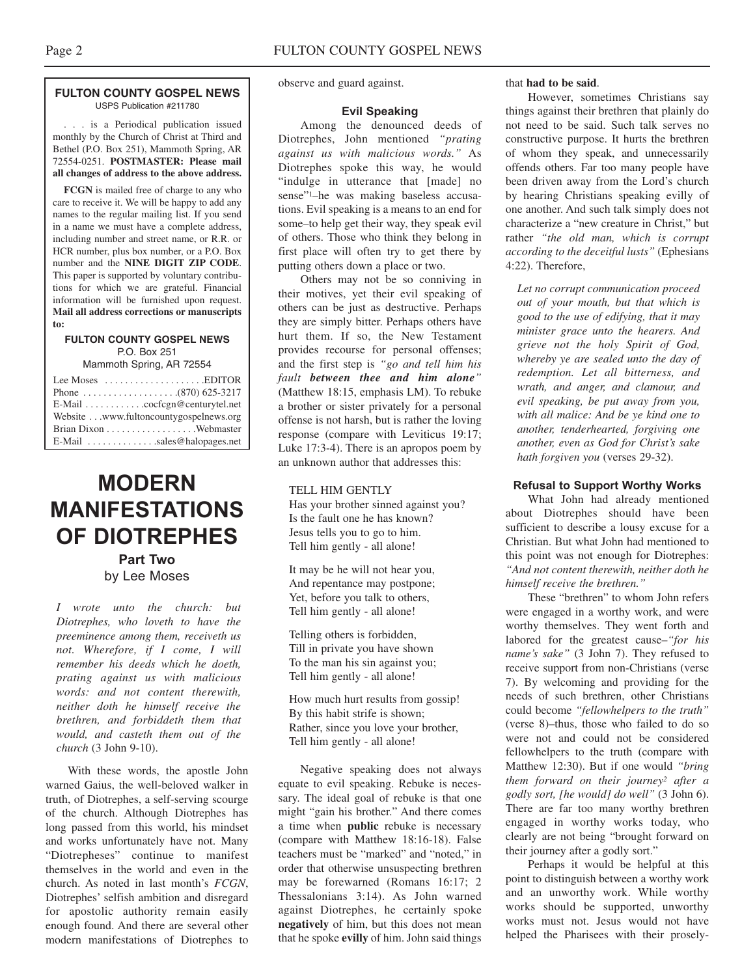#### **FULTON COUNTY GOSPEL NEWS** USPS Publication #211780

. . . is a Periodical publication issued monthly by the Church of Christ at Third and Bethel (P.O. Box 251), Mammoth Spring, AR 72554-0251. **POSTMASTER: Please mail all changes of address to the above address.**

**FCGN** is mailed free of charge to any who care to receive it. We will be happy to add any names to the regular mailing list. If you send in a name we must have a complete address, including number and street name, or R.R. or HCR number, plus box number, or a P.O. Box number and the **NINE DIGIT ZIP CODE**. This paper is supported by voluntary contributions for which we are grateful. Financial information will be furnished upon request. **Mail all address corrections or manuscripts to:**

#### **FULTON COUNTY GOSPEL NEWS** P.O. Box 251

Mammoth Spring, AR 72554

| Lee Moses $\dots\dots\dots\dots\dots\dots$ . EDITOR       |
|-----------------------------------------------------------|
|                                                           |
| $E$ -Mail $\ldots \ldots \ldots$ . cocfcgn@centurytel.net |
| Website www.fultoncountygospelnews.org                    |
|                                                           |
| $E$ -Mail sales@halopages.net                             |

### **MODERN MANIFESTATIONS OF DIOTREPHES**

**Part Two** by Lee Moses

*I wrote unto the church: but Diotrephes, who loveth to have the preeminence among them, receiveth us not. Wherefore, if I come, I will remember his deeds which he doeth, prating against us with malicious words: and not content therewith, neither doth he himself receive the brethren, and forbiddeth them that would, and casteth them out of the church* (3 John 9-10).

With these words, the apostle John warned Gaius, the well-beloved walker in truth, of Diotrephes, a self-serving scourge of the church. Although Diotrephes has long passed from this world, his mindset and works unfortunately have not. Many "Diotrepheses" continue to manifest themselves in the world and even in the church. As noted in last month's *FCGN*, Diotrephes' selfish ambition and disregard for apostolic authority remain easily enough found. And there are several other modern manifestations of Diotrephes to

observe and guard against.

#### **Evil Speaking**

Among the denounced deeds of Diotrephes, John mentioned *"prating against us with malicious words."* As Diotrephes spoke this way, he would "indulge in utterance that [made] no sense"1–he was making baseless accusations. Evil speaking is a means to an end for some–to help get their way, they speak evil of others. Those who think they belong in first place will often try to get there by putting others down a place or two.

Others may not be so conniving in their motives, yet their evil speaking of others can be just as destructive. Perhaps they are simply bitter. Perhaps others have hurt them. If so, the New Testament provides recourse for personal offenses; and the first step is *"go and tell him his fault between thee and him alone"* (Matthew 18:15, emphasis LM). To rebuke a brother or sister privately for a personal offense is not harsh, but is rather the loving response (compare with Leviticus 19:17; Luke 17:3-4). There is an apropos poem by an unknown author that addresses this:

#### TELL HIM GENTLY

Has your brother sinned against you? Is the fault one he has known? Jesus tells you to go to him. Tell him gently - all alone!

It may be he will not hear you, And repentance may postpone; Yet, before you talk to others, Tell him gently - all alone!

Telling others is forbidden, Till in private you have shown To the man his sin against you; Tell him gently - all alone!

How much hurt results from gossip! By this habit strife is shown; Rather, since you love your brother, Tell him gently - all alone!

Negative speaking does not always equate to evil speaking. Rebuke is necessary. The ideal goal of rebuke is that one might "gain his brother." And there comes a time when **public** rebuke is necessary (compare with Matthew 18:16-18). False teachers must be "marked" and "noted," in order that otherwise unsuspecting brethren may be forewarned (Romans 16:17; 2 Thessalonians 3:14). As John warned against Diotrephes, he certainly spoke **negatively** of him, but this does not mean that he spoke **evilly** of him. John said things

that **had to be said**.

However, sometimes Christians say things against their brethren that plainly do not need to be said. Such talk serves no constructive purpose. It hurts the brethren of whom they speak, and unnecessarily offends others. Far too many people have been driven away from the Lord's church by hearing Christians speaking evilly of one another. And such talk simply does not characterize a "new creature in Christ," but rather *"the old man, which is corrupt according to the deceitful lusts"* (Ephesians 4:22). Therefore,

*Let no corrupt communication proceed out of your mouth, but that which is good to the use of edifying, that it may minister grace unto the hearers. And grieve not the holy Spirit of God, whereby ye are sealed unto the day of redemption. Let all bitterness, and wrath, and anger, and clamour, and evil speaking, be put away from you, with all malice: And be ye kind one to another, tenderhearted, forgiving one another, even as God for Christ's sake hath forgiven you* (verses 29-32).

#### **Refusal to Support Worthy Works**

What John had already mentioned about Diotrephes should have been sufficient to describe a lousy excuse for a Christian. But what John had mentioned to this point was not enough for Diotrephes: *"And not content therewith, neither doth he himself receive the brethren."*

These "brethren" to whom John refers were engaged in a worthy work, and were worthy themselves. They went forth and labored for the greatest cause–*"for his name's sake"* (3 John 7). They refused to receive support from non-Christians (verse 7). By welcoming and providing for the needs of such brethren, other Christians could become *"fellowhelpers to the truth"* (verse 8)–thus, those who failed to do so were not and could not be considered fellowhelpers to the truth (compare with Matthew 12:30). But if one would *"bring them forward on their journey2 after a godly sort, [he would] do well"* (3 John 6). There are far too many worthy brethren engaged in worthy works today, who clearly are not being "brought forward on their journey after a godly sort."

Perhaps it would be helpful at this point to distinguish between a worthy work and an unworthy work. While worthy works should be supported, unworthy works must not. Jesus would not have helped the Pharisees with their prosely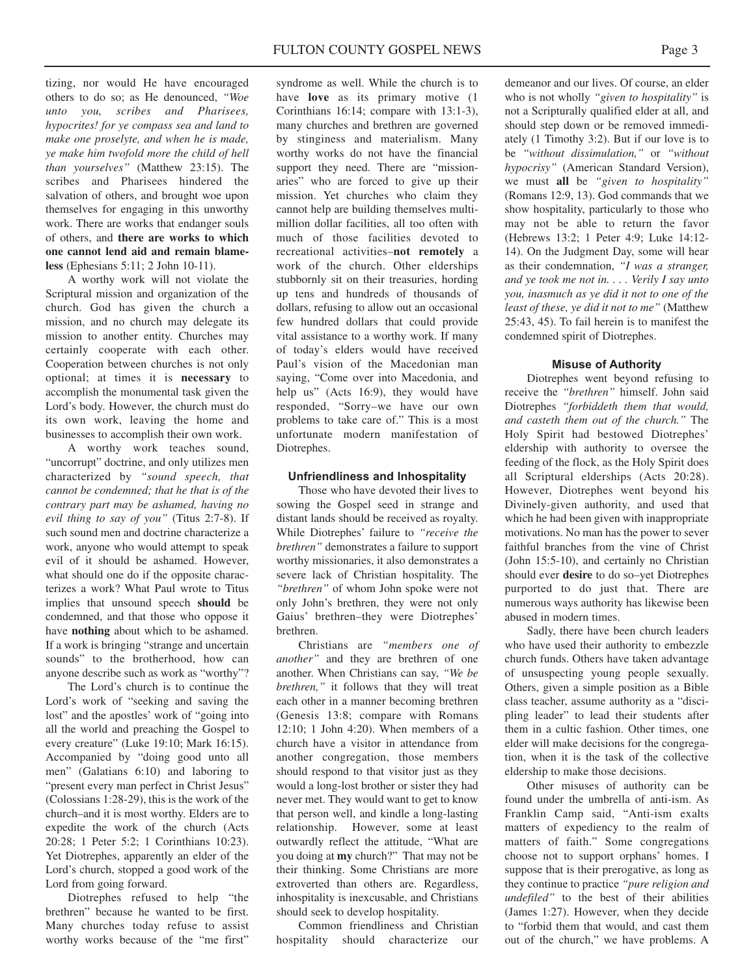tizing, nor would He have encouraged others to do so; as He denounced, *"Woe unto you, scribes and Pharisees, hypocrites! for ye compass sea and land to make one proselyte, and when he is made, ye make him twofold more the child of hell than yourselves"* (Matthew 23:15). The scribes and Pharisees hindered the salvation of others, and brought woe upon themselves for engaging in this unworthy work. There are works that endanger souls of others, and **there are works to which one cannot lend aid and remain blameless** (Ephesians 5:11; 2 John 10-11).

A worthy work will not violate the Scriptural mission and organization of the church. God has given the church a mission, and no church may delegate its mission to another entity. Churches may certainly cooperate with each other. Cooperation between churches is not only optional; at times it is **necessary** to accomplish the monumental task given the Lord's body. However, the church must do its own work, leaving the home and businesses to accomplish their own work.

A worthy work teaches sound, "uncorrupt" doctrine, and only utilizes men characterized by *"sound speech, that cannot be condemned; that he that is of the contrary part may be ashamed, having no evil thing to say of you"* (Titus 2:7-8). If such sound men and doctrine characterize a work, anyone who would attempt to speak evil of it should be ashamed. However, what should one do if the opposite characterizes a work? What Paul wrote to Titus implies that unsound speech **should** be condemned, and that those who oppose it have **nothing** about which to be ashamed. If a work is bringing "strange and uncertain sounds" to the brotherhood, how can anyone describe such as work as "worthy"?

The Lord's church is to continue the Lord's work of "seeking and saving the lost" and the apostles' work of "going into" all the world and preaching the Gospel to every creature" (Luke 19:10; Mark 16:15). Accompanied by "doing good unto all men" (Galatians 6:10) and laboring to "present every man perfect in Christ Jesus" (Colossians 1:28-29), this is the work of the church–and it is most worthy. Elders are to expedite the work of the church (Acts 20:28; 1 Peter 5:2; 1 Corinthians 10:23). Yet Diotrephes, apparently an elder of the Lord's church, stopped a good work of the Lord from going forward.

Diotrephes refused to help "the brethren" because he wanted to be first. Many churches today refuse to assist worthy works because of the "me first"

syndrome as well. While the church is to have **love** as its primary motive (1 Corinthians 16:14; compare with 13:1-3), many churches and brethren are governed by stinginess and materialism. Many worthy works do not have the financial support they need. There are "missionaries" who are forced to give up their mission. Yet churches who claim they cannot help are building themselves multimillion dollar facilities, all too often with much of those facilities devoted to recreational activities–**not remotely** a work of the church. Other elderships stubbornly sit on their treasuries, hording up tens and hundreds of thousands of dollars, refusing to allow out an occasional few hundred dollars that could provide vital assistance to a worthy work. If many of today's elders would have received Paul's vision of the Macedonian man saying, "Come over into Macedonia, and help us" (Acts 16:9), they would have responded, "Sorry–we have our own problems to take care of." This is a most unfortunate modern manifestation of Diotrephes.

#### **Unfriendliness and Inhospitality**

Those who have devoted their lives to sowing the Gospel seed in strange and distant lands should be received as royalty. While Diotrephes' failure to *"receive the brethren"* demonstrates a failure to support worthy missionaries, it also demonstrates a severe lack of Christian hospitality. The *"brethren"* of whom John spoke were not only John's brethren, they were not only Gaius' brethren–they were Diotrephes' brethren.

Christians are *"members one of another"* and they are brethren of one another. When Christians can say, *"We be brethren,"* it follows that they will treat each other in a manner becoming brethren (Genesis 13:8; compare with Romans 12:10; 1 John 4:20). When members of a church have a visitor in attendance from another congregation, those members should respond to that visitor just as they would a long-lost brother or sister they had never met. They would want to get to know that person well, and kindle a long-lasting relationship. However, some at least outwardly reflect the attitude, "What are you doing at **my** church?" That may not be their thinking. Some Christians are more extroverted than others are. Regardless, inhospitality is inexcusable, and Christians should seek to develop hospitality.

Common friendliness and Christian hospitality should characterize our

demeanor and our lives. Of course, an elder who is not wholly *"given to hospitality"* is not a Scripturally qualified elder at all, and should step down or be removed immediately (1 Timothy 3:2). But if our love is to be *"without dissimulation,"* or *"without hypocrisy"* (American Standard Version), we must **all** be *"given to hospitality"* (Romans 12:9, 13). God commands that we show hospitality, particularly to those who may not be able to return the favor (Hebrews 13:2; 1 Peter 4:9; Luke 14:12- 14). On the Judgment Day, some will hear as their condemnation, *"I was a stranger, and ye took me not in. . . . Verily I say unto you, inasmuch as ye did it not to one of the least of these, ye did it not to me"* (Matthew 25:43, 45). To fail herein is to manifest the condemned spirit of Diotrephes.

#### **Misuse of Authority**

Diotrephes went beyond refusing to receive the *"brethren"* himself. John said Diotrephes *"forbiddeth them that would, and casteth them out of the church."* The Holy Spirit had bestowed Diotrephes' eldership with authority to oversee the feeding of the flock, as the Holy Spirit does all Scriptural elderships (Acts 20:28). However, Diotrephes went beyond his Divinely-given authority, and used that which he had been given with inappropriate motivations. No man has the power to sever faithful branches from the vine of Christ (John 15:5-10), and certainly no Christian should ever **desire** to do so–yet Diotrephes purported to do just that. There are numerous ways authority has likewise been abused in modern times.

Sadly, there have been church leaders who have used their authority to embezzle church funds. Others have taken advantage of unsuspecting young people sexually. Others, given a simple position as a Bible class teacher, assume authority as a "discipling leader" to lead their students after them in a cultic fashion. Other times, one elder will make decisions for the congregation, when it is the task of the collective eldership to make those decisions.

Other misuses of authority can be found under the umbrella of anti-ism. As Franklin Camp said, "Anti-ism exalts matters of expediency to the realm of matters of faith." Some congregations choose not to support orphans' homes. I suppose that is their prerogative, as long as they continue to practice *"pure religion and undefiled"* to the best of their abilities (James 1:27). However, when they decide to "forbid them that would, and cast them out of the church," we have problems. A